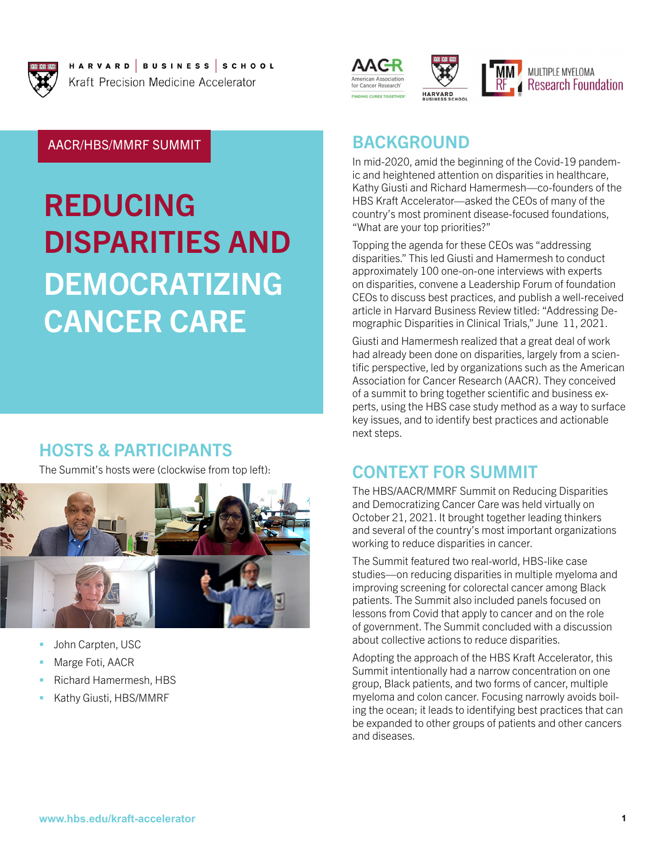

HARVARD |BUSINESS |SCHOOL Kraft Precision Medicine Accelerator





MULTIPLE MYELOMA **Research Foundation** 

AACR/HBS/MMRF SUMMIT

# REDUCING DISPARITIES AND DEMOCRATIZING CANCER CARE

## HOSTS & PARTICIPANTS

The Summit's hosts were (clockwise from top left):



- John Carpten, USC
- Marge Foti, AACR
- Richard Hamermesh, HBS
- Kathy Giusti, HBS/MMRF

## BACKGROUND

In mid-2020, amid the beginning of the Covid-19 pandemic and heightened attention on disparities in healthcare, Kathy Giusti and Richard Hamermesh—co-founders of the HBS Kraft Accelerator—asked the CEOs of many of the country's most prominent disease-focused foundations, "What are your top priorities?"

Topping the agenda for these CEOs was "addressing disparities." This led Giusti and Hamermesh to conduct approximately 100 one-on-one interviews with experts on disparities, convene a Leadership Forum of foundation CEOs to discuss best practices, and publish a well-received article in Harvard Business Review titled: "Addressing Demographic Disparities in Clinical Trials," June 11, 2021.

Giusti and Hamermesh realized that a great deal of work had already been done on disparities, largely from a scientific perspective, led by organizations such as the American Association for Cancer Research (AACR). They conceived of a summit to bring together scientific and business experts, using the HBS case study method as a way to surface key issues, and to identify best practices and actionable next steps.

# CONTEXT FOR SUMMIT

The HBS/AACR/MMRF Summit on Reducing Disparities and Democratizing Cancer Care was held virtually on October 21, 2021. It brought together leading thinkers and several of the country's most important organizations working to reduce disparities in cancer.

The Summit featured two real-world, HBS-like case studies—on reducing disparities in multiple myeloma and improving screening for colorectal cancer among Black patients. The Summit also included panels focused on lessons from Covid that apply to cancer and on the role of government. The Summit concluded with a discussion about collective actions to reduce disparities.

Adopting the approach of the HBS Kraft Accelerator, this Summit intentionally had a narrow concentration on one group, Black patients, and two forms of cancer, multiple myeloma and colon cancer. Focusing narrowly avoids boiling the ocean; it leads to identifying best practices that can be expanded to other groups of patients and other cancers and diseases.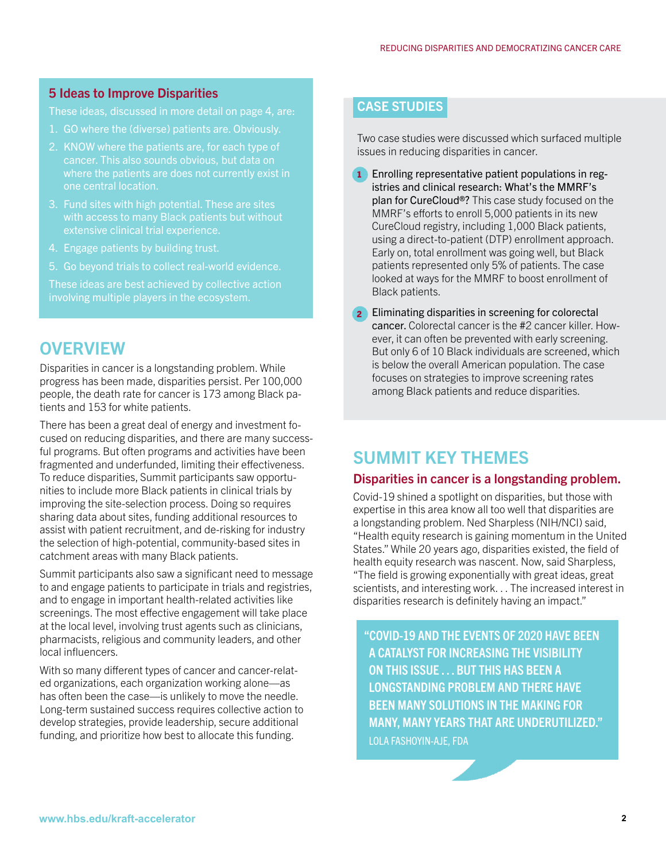#### 5 Ideas to Improve Disparities

These ideas, discussed in more detail on page 4, are:

- 1. GO where the (diverse) patients are. Obviously.
- 2. KNOW where the patients are, for each type of one central location.
- 3. Fund sites with high potential. These are sites with access to many Black patients but without extensive clinical trial experience.
- 4. Engage patients by building trust.
- 5. Go beyond trials to collect real-world evidence.

These ideas are best achieved by collective action

## **OVERVIEW**

Disparities in cancer is a longstanding problem. While progress has been made, disparities persist. Per 100,000 people, the death rate for cancer is 173 among Black patients and 153 for white patients.

There has been a great deal of energy and investment focused on reducing disparities, and there are many successful programs. But often programs and activities have been fragmented and underfunded, limiting their effectiveness. To reduce disparities, Summit participants saw opportunities to include more Black patients in clinical trials by improving the site-selection process. Doing so requires sharing data about sites, funding additional resources to assist with patient recruitment, and de-risking for industry the selection of high-potential, community-based sites in catchment areas with many Black patients.

Summit participants also saw a significant need to message to and engage patients to participate in trials and registries, and to engage in important health-related activities like screenings. The most effective engagement will take place at the local level, involving trust agents such as clinicians, pharmacists, religious and community leaders, and other local influencers.

With so many different types of cancer and cancer-related organizations, each organization working alone—as has often been the case—is unlikely to move the needle. Long-term sustained success requires collective action to develop strategies, provide leadership, secure additional funding, and prioritize how best to allocate this funding.

## CASE STUDIES

Two case studies were discussed which surfaced multiple issues in reducing disparities in cancer.

- 1 Enrolling representative patient populations in registries and clinical research: What's the MMRF's plan for CureCloud®? This case study focused on the MMRF's efforts to enroll 5,000 patients in its new CureCloud registry, including 1,000 Black patients, using a direct-to-patient (DTP) enrollment approach. Early on, total enrollment was going well, but Black patients represented only 5% of patients. The case looked at ways for the MMRF to boost enrollment of Black patients.
- 2 Eliminating disparities in screening for colorectal cancer. Colorectal cancer is the #2 cancer killer. However, it can often be prevented with early screening. But only 6 of 10 Black individuals are screened, which is below the overall American population. The case focuses on strategies to improve screening rates among Black patients and reduce disparities.

# SUMMIT KEY THEMES

#### Disparities in cancer is a longstanding problem.

Covid-19 shined a spotlight on disparities, but those with expertise in this area know all too well that disparities are a longstanding problem. Ned Sharpless (NIH/NCI) said, "Health equity research is gaining momentum in the United States." While 20 years ago, disparities existed, the field of health equity research was nascent. Now, said Sharpless, "The field is growing exponentially with great ideas, great scientists, and interesting work. . . The increased interest in disparities research is definitely having an impact."

"COVID-19 AND THE EVENTS OF 2020 HAVE BEEN A CATALYST FOR INCREASING THE VISIBILITY ON THIS ISSUE . . . BUT THIS HAS BEEN A LONGSTANDING PROBLEM AND THERE HAVE BEEN MANY SOLUTIONS IN THE MAKING FOR MANY, MANY YEARS THAT ARE UNDERUTILIZED." LOLA FASHOYIN-AJE, FDA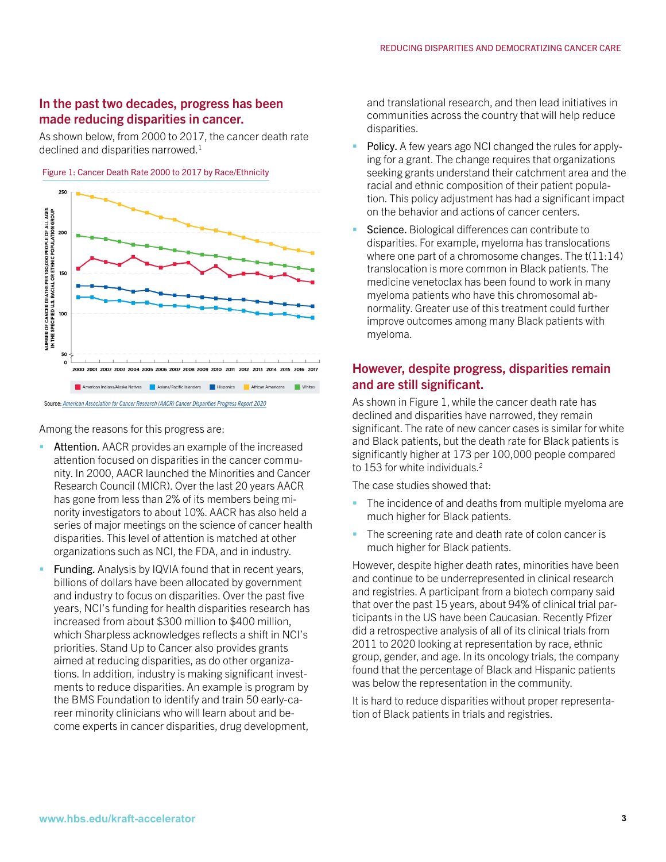#### In the past two decades, progress has been made reducing disparities in cancer.

As shown below, from 2000 to 2017, the cancer death rate declined and disparities narrowed.<sup>1</sup>





Among the reasons for this progress are:

- Attention. AACR provides an example of the increased attention focused on disparities in the cancer community. In 2000, AACR launched the Minorities and Cancer Research Council (MICR). Over the last 20 years AACR has gone from less than 2% of its members being minority investigators to about 10%. AACR has also held a series of major meetings on the science of cancer health disparities. This level of attention is matched at other organizations such as NCI, the FDA, and in industry.
- **Funding.** Analysis by IQVIA found that in recent years, billions of dollars have been allocated by government and industry to focus on disparities. Over the past five years, NCI's funding for health disparities research has increased from about \$300 million to \$400 million, which Sharpless acknowledges reflects a shift in NCI's priorities. Stand Up to Cancer also provides grants aimed at reducing disparities, as do other organizations. In addition, industry is making significant investments to reduce disparities. An example is program by the BMS Foundation to identify and train 50 early-career minority clinicians who will learn about and become experts in cancer disparities, drug development,

and translational research, and then lead initiatives in communities across the country that will help reduce disparities.

- Policy. A few years ago NCI changed the rules for applying for a grant. The change requires that organizations seeking grants understand their catchment area and the racial and ethnic composition of their patient population. This policy adjustment has had a significant impact on the behavior and actions of cancer centers.
- Science. Biological differences can contribute to disparities. For example, myeloma has translocations where one part of a chromosome changes. The t(11:14) translocation is more common in Black patients. The medicine venetoclax has been found to work in many myeloma patients who have this chromosomal abnormality. Greater use of this treatment could further improve outcomes among many Black patients with myeloma.

#### However, despite progress, disparities remain and are still significant.

As shown in Figure 1, while the cancer death rate has declined and disparities have narrowed, they remain significant. The rate of new cancer cases is similar for white and Black patients, but the death rate for Black patients is significantly higher at 173 per 100,000 people compared to 153 for white individuals.<sup>2</sup>

The case studies showed that:

- The incidence of and deaths from multiple myeloma are much higher for Black patients.
- The screening rate and death rate of colon cancer is much higher for Black patients.

However, despite higher death rates, minorities have been and continue to be underrepresented in clinical research and registries. A participant from a biotech company said that over the past 15 years, about 94% of clinical trial participants in the US have been Caucasian. Recently Pfizer did a retrospective analysis of all of its clinical trials from 2011 to 2020 looking at representation by race, ethnic group, gender, and age. In its oncology trials, the company found that the percentage of Black and Hispanic patients was below the representation in the community.

It is hard to reduce disparities without proper representation of Black patients in trials and registries.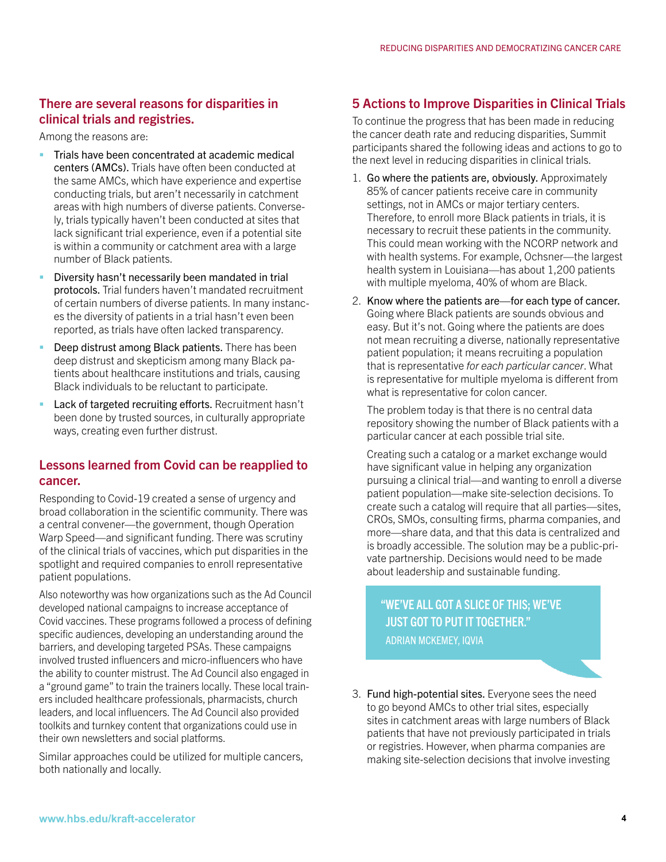## There are several reasons for disparities in clinical trials and registries.

Among the reasons are:

- **Trials have been concentrated at academic medical** centers (AMCs). Trials have often been conducted at the same AMCs, which have experience and expertise conducting trials, but aren't necessarily in catchment areas with high numbers of diverse patients. Conversely, trials typically haven't been conducted at sites that lack significant trial experience, even if a potential site is within a community or catchment area with a large number of Black patients.
- Diversity hasn't necessarily been mandated in trial protocols. Trial funders haven't mandated recruitment of certain numbers of diverse patients. In many instances the diversity of patients in a trial hasn't even been reported, as trials have often lacked transparency.
- Deep distrust among Black patients. There has been deep distrust and skepticism among many Black patients about healthcare institutions and trials, causing Black individuals to be reluctant to participate.
- Lack of targeted recruiting efforts. Recruitment hasn't been done by trusted sources, in culturally appropriate ways, creating even further distrust.

#### Lessons learned from Covid can be reapplied to cancer.

Responding to Covid-19 created a sense of urgency and broad collaboration in the scientific community. There was a central convener—the government, though Operation Warp Speed—and significant funding. There was scrutiny of the clinical trials of vaccines, which put disparities in the spotlight and required companies to enroll representative patient populations.

Also noteworthy was how organizations such as the Ad Council developed national campaigns to increase acceptance of Covid vaccines. These programs followed a process of defining specific audiences, developing an understanding around the barriers, and developing targeted PSAs. These campaigns involved trusted influencers and micro-influencers who have the ability to counter mistrust. The Ad Council also engaged in a "ground game" to train the trainers locally. These local trainers included healthcare professionals, pharmacists, church leaders, and local influencers. The Ad Council also provided toolkits and turnkey content that organizations could use in their own newsletters and social platforms.

Similar approaches could be utilized for multiple cancers, both nationally and locally.

## 5 Actions to Improve Disparities in Clinical Trials

To continue the progress that has been made in reducing the cancer death rate and reducing disparities, Summit participants shared the following ideas and actions to go to the next level in reducing disparities in clinical trials.

- 1. Go where the patients are, obviously. Approximately 85% of cancer patients receive care in community settings, not in AMCs or major tertiary centers. Therefore, to enroll more Black patients in trials, it is necessary to recruit these patients in the community. This could mean working with the NCORP network and with health systems. For example, Ochsner—the largest health system in Louisiana—has about 1,200 patients with multiple myeloma, 40% of whom are Black.
- 2. Know where the patients are—for each type of cancer. Going where Black patients are sounds obvious and easy. But it's not. Going where the patients are does not mean recruiting a diverse, nationally representative patient population; it means recruiting a population that is representative *for each particular cancer*. What is representative for multiple myeloma is different from what is representative for colon cancer.

The problem today is that there is no central data repository showing the number of Black patients with a particular cancer at each possible trial site.

Creating such a catalog or a market exchange would have significant value in helping any organization pursuing a clinical trial—and wanting to enroll a diverse patient population—make site-selection decisions. To create such a catalog will require that all parties—sites, CROs, SMOs, consulting firms, pharma companies, and more—share data, and that this data is centralized and is broadly accessible. The solution may be a public-private partnership. Decisions would need to be made about leadership and sustainable funding.

"WE'VE ALL GOT A SLICE OF THIS; WE'VE JUST GOT TO PUT IT TOGETHER." ADRIAN MCKEMEY, IQVIA

3. Fund high-potential sites. Everyone sees the need to go beyond AMCs to other trial sites, especially sites in catchment areas with large numbers of Black patients that have not previously participated in trials or registries. However, when pharma companies are making site-selection decisions that involve investing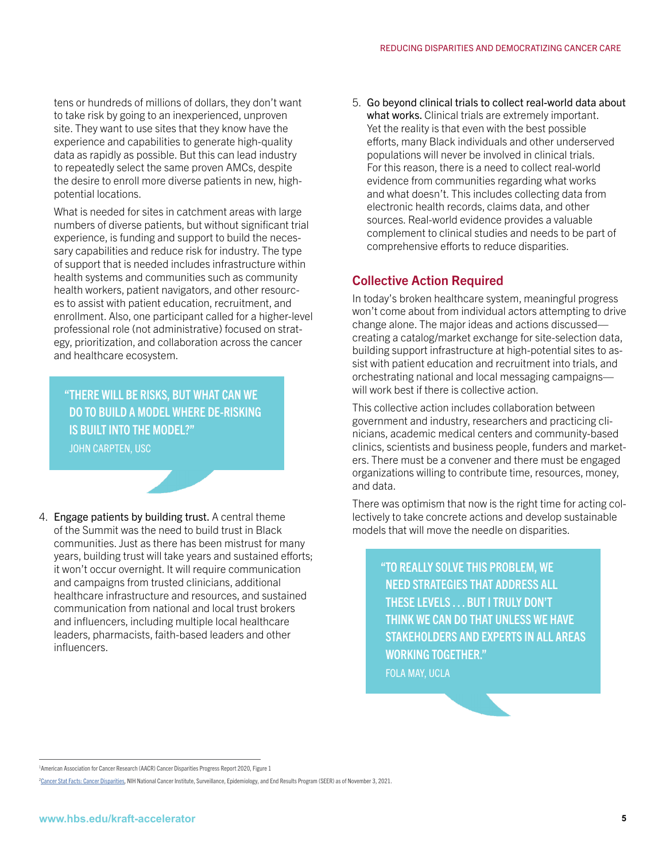tens or hundreds of millions of dollars, they don't want to take risk by going to an inexperienced, unproven site. They want to use sites that they know have the experience and capabilities to generate high-quality data as rapidly as possible. But this can lead industry to repeatedly select the same proven AMCs, despite the desire to enroll more diverse patients in new, highpotential locations.

What is needed for sites in catchment areas with large numbers of diverse patients, but without significant trial experience, is funding and support to build the necessary capabilities and reduce risk for industry. The type of support that is needed includes infrastructure within health systems and communities such as community health workers, patient navigators, and other resources to assist with patient education, recruitment, and enrollment. Also, one participant called for a higher-level professional role (not administrative) focused on strategy, prioritization, and collaboration across the cancer and healthcare ecosystem.

"THERE WILL BE RISKS, BUT WHAT CAN WE DO TO BUILD A MODEL WHERE DE-RISKING IS BUILT INTO THE MODEL?" JOHN CARPTEN, USC

4. Engage patients by building trust. A central theme of the Summit was the need to build trust in Black communities. Just as there has been mistrust for many years, building trust will take years and sustained efforts; it won't occur overnight. It will require communication and campaigns from trusted clinicians, additional healthcare infrastructure and resources, and sustained communication from national and local trust brokers and influencers, including multiple local healthcare leaders, pharmacists, faith-based leaders and other influencers.

5. Go beyond clinical trials to collect real-world data about what works. Clinical trials are extremely important. Yet the reality is that even with the best possible efforts, many Black individuals and other underserved populations will never be involved in clinical trials. For this reason, there is a need to collect real-world evidence from communities regarding what works and what doesn't. This includes collecting data from electronic health records, claims data, and other sources. Real-world evidence provides a valuable complement to clinical studies and needs to be part of comprehensive efforts to reduce disparities.

#### Collective Action Required

In today's broken healthcare system, meaningful progress won't come about from individual actors attempting to drive change alone. The major ideas and actions discussed creating a catalog/market exchange for site-selection data, building support infrastructure at high-potential sites to assist with patient education and recruitment into trials, and orchestrating national and local messaging campaigns will work best if there is collective action.

This collective action includes collaboration between government and industry, researchers and practicing clinicians, academic medical centers and community-based clinics, scientists and business people, funders and marketers. There must be a convener and there must be engaged organizations willing to contribute time, resources, money, and data.

There was optimism that now is the right time for acting collectively to take concrete actions and develop sustainable models that will move the needle on disparities.

> "TO REALLY SOLVE THIS PROBLEM, WE NEED STRATEGIES THAT ADDRESS ALL THESE LEVELS . . . BUT I TRULY DON'T THINK WE CAN DO THAT UNLESS WE HAVE STAKEHOLDERS AND EXPERTS IN ALL AREAS WORKING TOGETHER." FOLA MAY, UCLA

<sup>&</sup>lt;sup>1</sup> American Association for Cancer Research (AACR) Cancer Disparities Progress Report 2020, Figure 1

<sup>&</sup>lt;sup>2</sup>Cancer Stat Facts: Cancer Disparities, NIH National Cancer Institute, Surveillance, Epidemiology, and End Results Program (SEER) as of November 3, 2021.